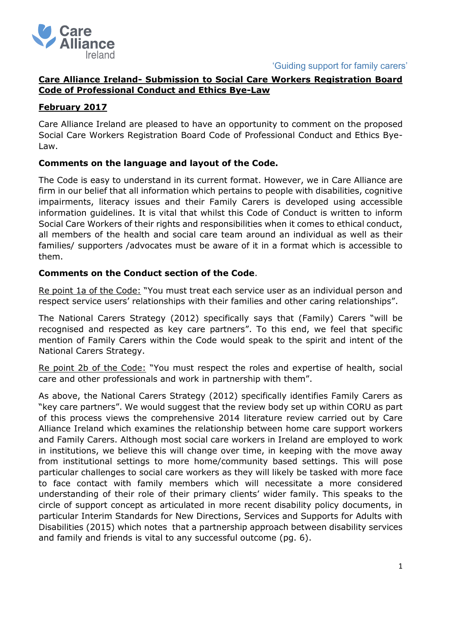

'Guiding support for family carers'

# **Care Alliance Ireland- Submission to Social Care Workers Registration Board Code of Professional Conduct and Ethics Bye-Law**

## **February 2017**

Care Alliance Ireland are pleased to have an opportunity to comment on the proposed Social Care Workers Registration Board Code of Professional Conduct and Ethics Bye-Law.

## **Comments on the language and layout of the Code.**

The Code is easy to understand in its current format. However, we in Care Alliance are firm in our belief that all information which pertains to people with disabilities, cognitive impairments, literacy issues and their Family Carers is developed using accessible information guidelines. It is vital that whilst this Code of Conduct is written to inform Social Care Workers of their rights and responsibilities when it comes to ethical conduct, all members of the health and social care team around an individual as well as their families/ supporters /advocates must be aware of it in a format which is accessible to them.

# **Comments on the Conduct section of the Code**.

Re point 1a of the Code: "You must treat each service user as an individual person and respect service users' relationships with their families and other caring relationships".

The National Carers Strategy (2012) specifically says that (Family) Carers "will be recognised and respected as key care partners". To this end, we feel that specific mention of Family Carers within the Code would speak to the spirit and intent of the National Carers Strategy.

Re point 2b of the Code: "You must respect the roles and expertise of health, social care and other professionals and work in partnership with them".

As above, the National Carers Strategy (2012) specifically identifies Family Carers as "key care partners". We would suggest that the review body set up within CORU as part of this process views the comprehensive 2014 literature review carried out by Care Alliance Ireland which examines the relationship between home care support workers and Family Carers. Although most social care workers in Ireland are employed to work in institutions, we believe this will change over time, in keeping with the move away from institutional settings to more home/community based settings. This will pose particular challenges to social care workers as they will likely be tasked with more face to face contact with family members which will necessitate a more considered understanding of their role of their primary clients' wider family. This speaks to the circle of support concept as articulated in more recent disability policy documents, in particular Interim Standards for New Directions, Services and Supports for Adults with Disabilities (2015) which notes that a partnership approach between disability services and family and friends is vital to any successful outcome (pg. 6).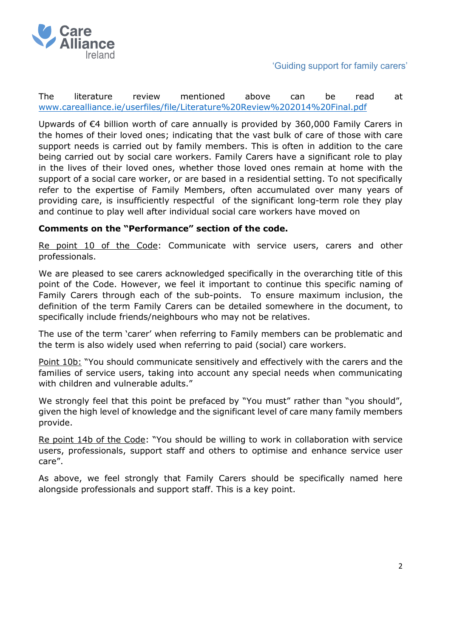

'Guiding support for family carers'

The literature review mentioned above can be read at [www.carealliance.ie/userfiles/file/Literature%20Review%202014%20Final.pdf](http://www.carealliance.ie/userfiles/file/Literature%20Review%202014%20Final.pdf)

Upwards of €4 billion worth of care annually is provided by 360,000 Family Carers in the homes of their loved ones; indicating that the vast bulk of care of those with care support needs is carried out by family members. This is often in addition to the care being carried out by social care workers. Family Carers have a significant role to play in the lives of their loved ones, whether those loved ones remain at home with the support of a social care worker, or are based in a residential setting. To not specifically refer to the expertise of Family Members, often accumulated over many years of providing care, is insufficiently respectful of the significant long-term role they play and continue to play well after individual social care workers have moved on

#### **Comments on the "Performance" section of the code.**

Re point 10 of the Code: Communicate with service users, carers and other professionals.

We are pleased to see carers acknowledged specifically in the overarching title of this point of the Code. However, we feel it important to continue this specific naming of Family Carers through each of the sub-points. To ensure maximum inclusion, the definition of the term Family Carers can be detailed somewhere in the document, to specifically include friends/neighbours who may not be relatives.

The use of the term 'carer' when referring to Family members can be problematic and the term is also widely used when referring to paid (social) care workers.

Point 10b: "You should communicate sensitively and effectively with the carers and the families of service users, taking into account any special needs when communicating with children and vulnerable adults."

We strongly feel that this point be prefaced by "You must" rather than "you should", given the high level of knowledge and the significant level of care many family members provide.

Re point 14b of the Code: "You should be willing to work in collaboration with service users, professionals, support staff and others to optimise and enhance service user care".

As above, we feel strongly that Family Carers should be specifically named here alongside professionals and support staff. This is a key point.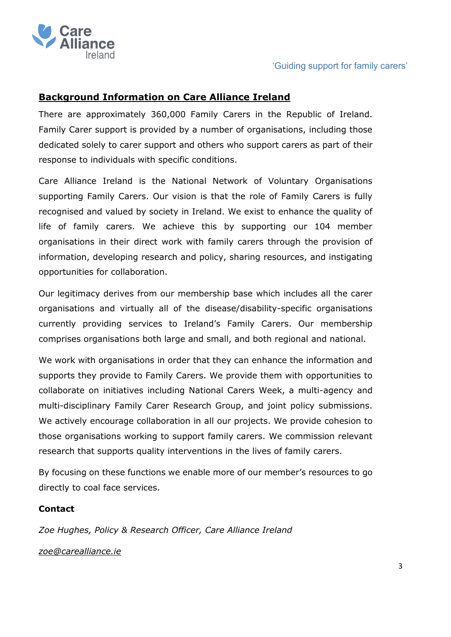

# **Background Information on Care Alliance Ireland**

There are approximately 360,000 Family Carers in the Republic of Ireland. Family Carer support is provided by a number of organisations, including those dedicated solely to carer support and others who support carers as part of their response to individuals with specific conditions.

Care Alliance Ireland is the National Network of Voluntary Organisations supporting Family Carers. Our vision is that the role of Family Carers is fully recognised and valued by society in Ireland. We exist to enhance the quality of life of family carers. We achieve this by supporting our 104 member organisations in their direct work with family carers through the provision of information, developing research and policy, sharing resources, and instigating opportunities for collaboration.

Our legitimacy derives from our membership base which includes all the carer organisations and virtually all of the disease/disability-specific organisations currently providing services to Ireland's Family Carers. Our membership comprises organisations both large and small, and both regional and national.

We work with organisations in order that they can enhance the information and supports they provide to Family Carers. We provide them with opportunities to collaborate on initiatives including National Carers Week, a multi-agency and multi-disciplinary Family Carer Research Group, and joint policy submissions. We actively encourage collaboration in all our projects. We provide cohesion to those organisations working to support family carers. We commission relevant research that supports quality interventions in the lives of family carers.

By focusing on these functions we enable more of our member's resources to go directly to coal face services.

### **Contact**

*Zoe Hughes, Policy & Research Officer, Care Alliance Ireland* 

*[zoe@carealliance.ie](mailto:zoe@carealliance.ie)*